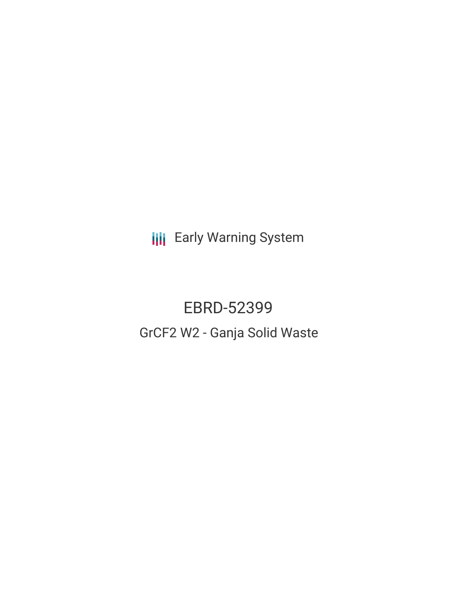**III** Early Warning System

# EBRD-52399 GrCF2 W2 - Ganja Solid Waste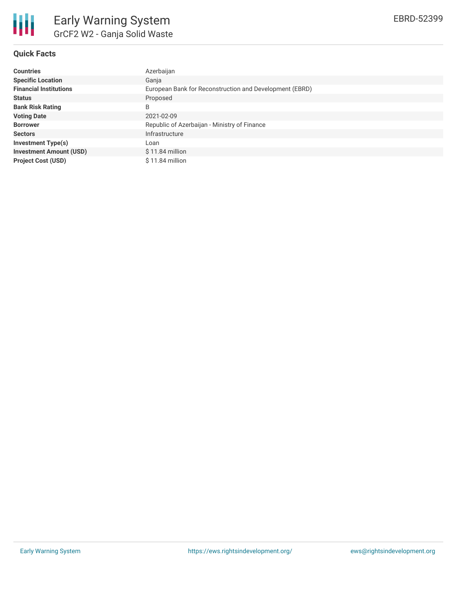

## **Quick Facts**

| <b>Countries</b>               | Azerbaijan                                              |
|--------------------------------|---------------------------------------------------------|
| <b>Specific Location</b>       | Gania                                                   |
| <b>Financial Institutions</b>  | European Bank for Reconstruction and Development (EBRD) |
| <b>Status</b>                  | Proposed                                                |
| <b>Bank Risk Rating</b>        | B                                                       |
| <b>Voting Date</b>             | 2021-02-09                                              |
| <b>Borrower</b>                | Republic of Azerbaijan - Ministry of Finance            |
| <b>Sectors</b>                 | Infrastructure                                          |
| Investment Type(s)             | Loan                                                    |
| <b>Investment Amount (USD)</b> | $$11.84$ million                                        |
| <b>Project Cost (USD)</b>      | $$11.84$ million                                        |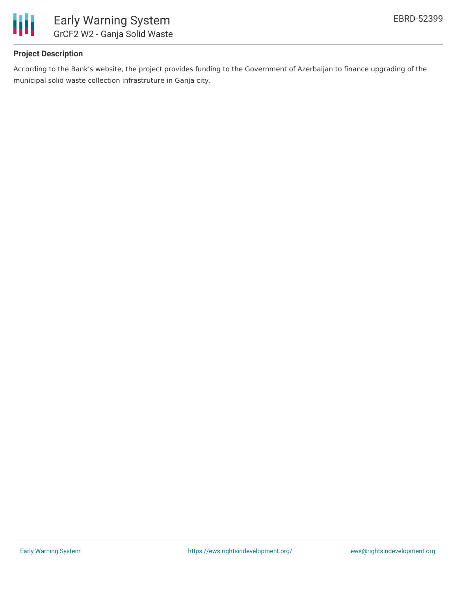

# **Project Description**

According to the Bank's website, the project provides funding to the Government of Azerbaijan to finance upgrading of the municipal solid waste collection infrastruture in Ganja city.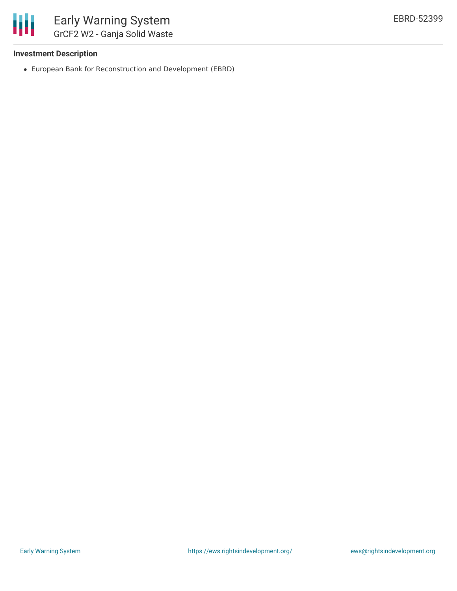

### **Investment Description**

European Bank for Reconstruction and Development (EBRD)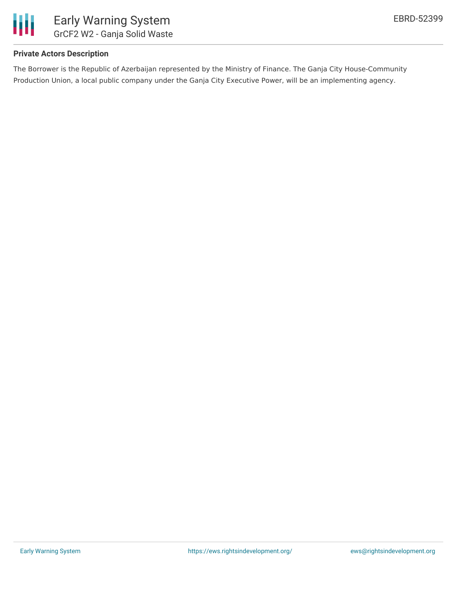

### **Private Actors Description**

The Borrower is the Republic of Azerbaijan represented by the Ministry of Finance. The Ganja City House-Community Production Union, a local public company under the Ganja City Executive Power, will be an implementing agency.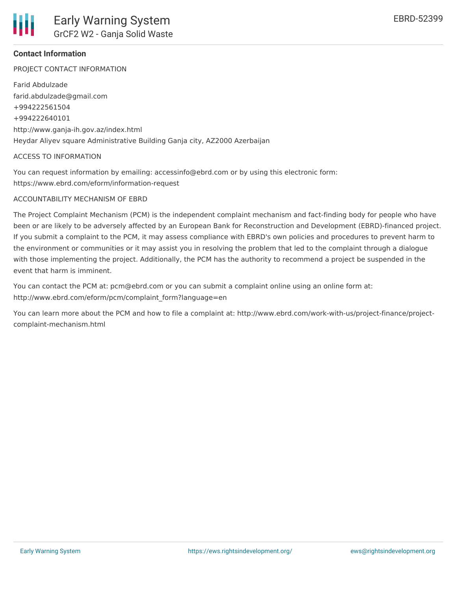

# **Contact Information**

PROJECT CONTACT INFORMATION

Farid Abdulzade farid.abdulzade@gmail.com +994222561504 +994222640101 http://www.ganja-ih.gov.az/index.html Heydar Aliyev square Administrative Building Ganja city, AZ2000 Azerbaijan

#### ACCESS TO INFORMATION

You can request information by emailing: accessinfo@ebrd.com or by using this electronic form: https://www.ebrd.com/eform/information-request

#### ACCOUNTABILITY MECHANISM OF EBRD

The Project Complaint Mechanism (PCM) is the independent complaint mechanism and fact-finding body for people who have been or are likely to be adversely affected by an European Bank for Reconstruction and Development (EBRD)-financed project. If you submit a complaint to the PCM, it may assess compliance with EBRD's own policies and procedures to prevent harm to the environment or communities or it may assist you in resolving the problem that led to the complaint through a dialogue with those implementing the project. Additionally, the PCM has the authority to recommend a project be suspended in the event that harm is imminent.

You can contact the PCM at: pcm@ebrd.com or you can submit a complaint online using an online form at: http://www.ebrd.com/eform/pcm/complaint\_form?language=en

You can learn more about the PCM and how to file a complaint at: http://www.ebrd.com/work-with-us/project-finance/projectcomplaint-mechanism.html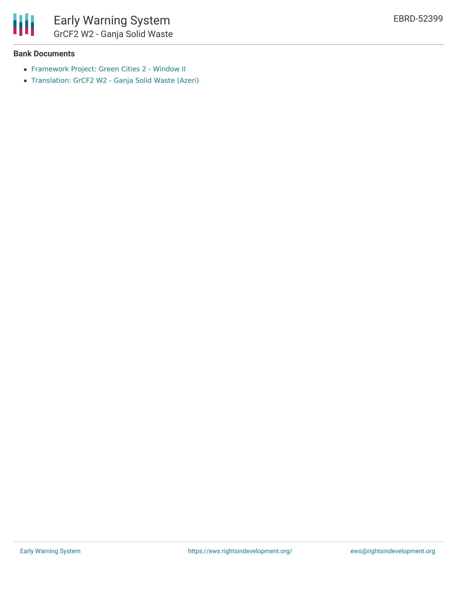

#### **Bank Documents**

- [Framework](https://www.ebrd.com/work-with-us/projects/psd/50674.html) Project: Green Cities 2 Window II
- [Translation:](https://www.ebrd.com/work-with-us/projects/psd-translation/52399/1395294593908/GrCF2_W2_-_Ganja_Solid_Waste_(Azeri).pdf?blobnocache=true) GrCF2 W2 Ganja Solid Waste (Azeri)